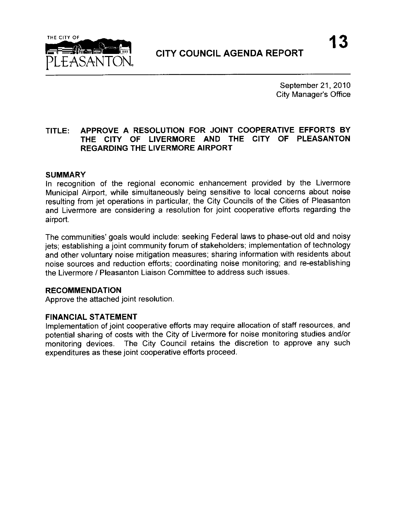

September 21, 2010 **City Manager's Office** 

## TITLE: APPROVE A RESOLUTION FOR JOINT COOPERATIVE EFFORTS BY THE CITY OF LIVERMORE AND THE CITY OF PLEASANTON REGARDING THE LIVERMORE AIRPORT

#### SUMMARY

In recognition of the regional economic enhancement provided by the Livermore Municipal Airport, while simultaneously being sensitive to local concerns about noise resulting from jet operations in particular, the City Councils of the Cities of Pleasanton and Livermore are considering a resolution for joint cooperative efforts regarding the airport.

The communities' goals would include: seeking Federal laws to phase -out old and noisy jets; establishing a joint community forum of stakeholders; implementation of technology and other voluntary noise mitigation measures; sharing information with residents about noise sources and reduction efforts; coordinating noise monitoring; and re- establishing the Livermore / Pleasanton Liaison Committee to address such issues.

#### RECOMMENDATION

Approve the attached joint resolution.

#### FINANCIAL STATEMENT

Implementation of joint cooperative efforts may require allocation of staff resources, and potential sharing of costs with the City of Livermore for noise monitoring studies and/or monitoring devices. The City Council retains the discretion to approve any such The City Council retains the discretion to approve any such expenditures as these joint cooperative efforts proceed.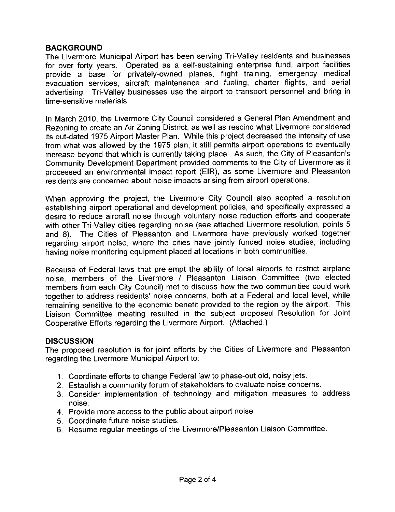## BACKGROUND

The Livermore Municipal Airport has been serving Tri- Valley residents and businesses for over forty years. Operated as a self-sustaining enterprise fund, airport facilities provide a base for privately-owned planes, flight training, emergency medical evacuation services, aircraft maintenance and fueling, charter flights, and aerial advertising. Tri-Valley businesses use the airport to transport personnel and bring in time-sensitive materials.

In March 2010, the Livermore City Council considered a General Plan Amendment and Rezoning to create an Air Zoning District, as well as rescind what Livermore considered its out -dated 1975 Airport Master Plan. While this project decreased the intensity of use from what was allowed by the 1975 plan, it still permits airport operations to eventually Rezoning to create an Air Zoning District, as well as rescind what Livermore considered<br>its out-dated 1975 Airport Master Plan. While this project decreased the intensity of use<br>from what was allowed by the 1975 plan, it s Community Development Department provided comments to the City of Livermore as it processed an environmental impact report (EIR), as some Livermore and Pleasanton residents are concerned about noise impacts arising from airport operations.

When approving the project, the Livermore City Council also adopted a resolution establishing airport operational and development policies, and specifically expressed a desire to reduce aircraft noise through voluntary noise reduction efforts and cooperate with other Tri-Valley cities regarding noise (see attached Livermore resolution, points 5 and 6). The Cities of Pleasanton and Livermore have previously worked together regarding airport noise, where the cities have jointly funded noise studies, including having noise monitoring equipment placed at locations in both communities.

Because of Federal laws that pre -empt the ability of local airports to restrict airplane noise, members of the Livermore / Pleasanton Liaison Committee (two elected members from each City Council) met to discuss how the two communities could work together to address residents' noise concerns, both at a Federal and local level, while remaining sensitive to the economic benefit provided to the region by the airport. This Liaison Committee meeting resulted in the subject proposed Resolution for Joint Cooperative Efforts regarding the Livermore Airport. (Attached.)

#### **DISCUSSION**

The proposed resolution is for joint efforts by the Cities of Livermore and Pleasanton regarding the Livermore Municipal Airport to:

- 1. Coordinate efforts to change Federal law to phase -out old, noisy jets.
- 2. Establish <sup>a</sup> community forum of stakeholders to evaluate noise concerns.
- 3. Consider implementation of technology and mitigation measures to address noise.
- 4. Provide more access to the public about airport noise.
- 5. Coordinate future noise studies.
- 6. Resume regular meetings of the Livermore /Pleasanton Liaison Committee.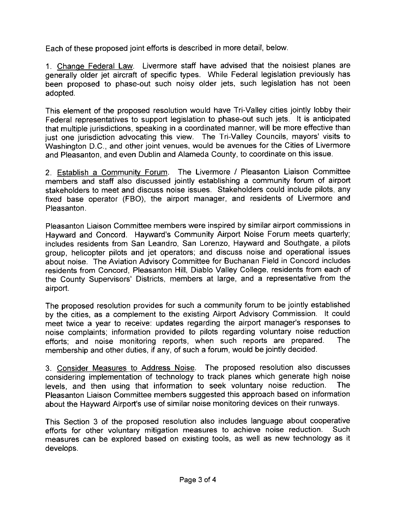Each of these proposed joint efforts is described in more detail, below.

1. Change Federal Law. Livermore staff have advised that the noisiest planes are generally older jet aircraft of specific types. While Federal legislation previously has been proposed to phase-out such noisy older jets, such legislation has not been adopted.

This element of the proposed resolution would have Tri- Valley cities jointly lobby their Federal representatives to support legislation to phase -out such jets. It is anticipated that multiple jurisdictions, speaking in a coordinated manner, will be more effective than just one jurisdiction advocating this view. The Tri-Valley Councils, mayors' visits to Washington D.C., and other joint venues, would be avenues for the Cities of Livermore and Pleasanton, and even Dublin and Alameda County, to coordinate on this issue.

2. Establish <sup>a</sup> Community Forum. The Livermore / Pleasanton Liaison Committee members and staff also discussed jointly establishing a community forum of airport stakeholders to meet and discuss noise issues. Stakeholders could include pilots, any fixed base operator (FBO), the airport manager, and residents of Livermore and Pleasanton.

Pleasanton Liaison Committee members were inspired by similar airport commissions in Hayward and Concord. Hayward's Community Airport Noise Forum meets quarterly; includes residents from San Leandro, San Lorenzo, Hayward and Southgate, a pilots group, helicopter pilots and jet operators; and discuss noise and operational issues about noise. The Aviation Advisory Committee for Buchanan Field in Concord includes residents from Concord, Pleasanton Hill, Diablo Valley College, residents from each of the County Supervisors' Districts, members at large, and a representative from the airport.

The proposed resolution provides for such a community forum to be jointly established<br>by the cities, as a complement to the existing Airport Advisory Commission. It could<br>meet twice a year to receive: updates regarding the by the cities, as a complement to the existing Airport Advisory Commission. It could noise complaints; information provided to pilots regarding voluntary noise reduction<br>efforts: and poise monitoring reports, when such reports are prepared. The efforts; and noise monitoring reports, when such reports are prepared. membership and other duties, if any, of such a forum, would be jointly decided.

3. Consider Measures to Address Noise. The proposed resolution also discusses considering implementation of technology to track planes which generate high noise<br>levels, and then using that information to seek voluntary noise reduction. The levels, and then using that information to seek voluntary noise reduction. Pleasanton Liaison Committee members suggested this approach based on information levels, and then using that information to seek voluntary holse reduction.<br>Pleasanton Liaison Committee members suggested this approach based on informati<br>about the Hayward Airport's use of similar noise monitoring devices

This Section 3 of the proposed resolution also includes language about cooperative<br>efforts for other voluntary mitigation measures to achieve noise reduction. Such efforts for other voluntary mitigation measures to achieve noise reduction. measures can be explored based on existing tools, as well as new technology as it develops.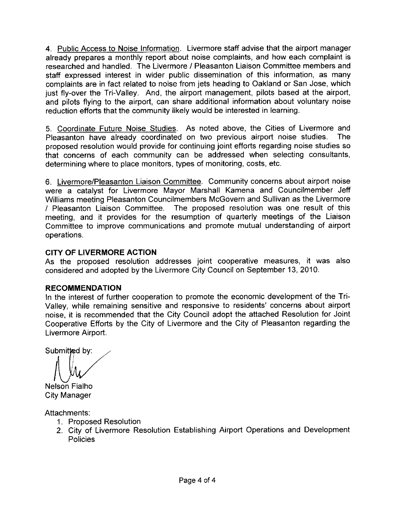4. Public Access to Noise Information. Livermore staff advise that the airport manager already prepares a monthly report about noise complaints, and how each complaint is researched and handled. The Livermore / Pleasanton Liaison Committee members and staff expressed interest in wider public dissemination of this information, as many complaints are in fact related to noise from jets heading to Oakland or San Jose, which just fly-over the Tri-Valley. And, the airport management, pilots based at the airport, and pilots flying to the airport, can share additional information about voluntary noise reduction efforts that the community likely would be interested in learning.

5. Coordinate Future Noise Studies. As noted above, the Cities of Livermore and Pleasanton have already coordinated on two previous airport noise studies. The Pleasanton have already coordinated on two previous airport noise studies. proposed resolution would provide for continuing joint efforts regarding noise studies so that concerns of each community can be addressed when selecting consultants, determining where to place monitors, types of monitoring, costs, etc.

6. Livermore/Pleasanton Liaison Committee. Community concerns about airport noise were a catalyst for Livermore Mayor Marshall Kamena and Councilmember Jeff Williams meeting Pleasanton Councilmembers McGovern and Sullivan as the Livermore Pleasanton Liaison Committee. The proposed resolution was one result of this meeting, and it provides for the resumption of quarterly meetings of the Liaison Committee to improve communications and promote mutual understanding of airport operations.

## CITY OF LIVERMORE ACTION

As the proposed resolution addresses joint cooperative measures, it was also considered and adopted by the Livermore City Council on September 13, 2010.

## RECOMMENDATION

In the interest of further cooperation to promote the economic development of the Tri-Valley, while remaining sensitive and responsive to residents' concerns about airport noise, it is recommended that the City Council adopt the attached Resolution for Joint Cooperative Efforts by the City of Livermore and the City of Pleasanton regarding the Livermore Airport.

Submitted by:

Nelson Fialho City Manager

Attachments:

- 1. Proposed Resolution
- 2. City of Livermore Resolution Establishing Airport Operations and Development Policies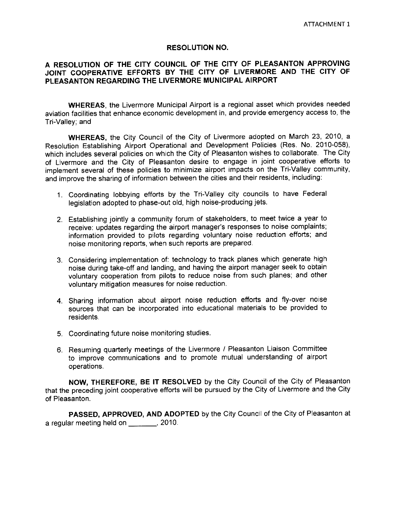#### RESOLUTION NO.

#### A RESOLUTION OF THE CITY COUNCIL OF THE CITY OF PLEASANTON APPROVING JOINT COOPERATIVE EFFORTS BY THE CITY OF LIVERMORE AND THE CITY OF PLEASANTON REGARDING THE LIVERMORE MUNICIPAL AIRPORT

WHEREAS, the Livermore Municipal Airport is a regional asset which provides needed aviation facilities that enhance economic development in, and provide emergency access to, the Tri- Valley; and

WHEREAS, the City Council of the City of Livermore adopted on March 23, 2010, a Resolution Establishing Airport Operational and Development Policies (Res. No. 2010 -058), which includes several policies on which the City of Pleasanton wishes to collaborate. The City of Livermore and the City of Pleasanton desire to engage in joint cooperative efforts to implement several of these policies to minimize airport impacts on the Tri-Valley community, and improve the sharing of information between the cities and their residents, including:

- 1. Coordinating lobbying efforts by the Tri Valley city councils to have Federal legislation adopted to phase-out old, high noise-producing jets.
- 2. Establishing jointly <sup>a</sup> community forum of stakeholders, to meet twice <sup>a</sup> year to regieration alloptic to prince in the bookstanding of stakeholders, to meet twice a year to receive: updates regarding the airport manager's responses to noise complaints;<br>information provided to pilots regarding voluntary information provided to pilots regarding voluntary noise reduction efforts; and noise monitoring reports, when such reports are prepared.
- 3. Considering implementation of: technology to track planes which generate high noise during take -off and landing, and having the airport manager seek to obtain voluntary cooperation from pilots to reduce noise from such planes; and other voluntary mitigation measures for noise reduction.
- 4. Sharing information about airport noise reduction efforts and fly -over noise sources that can be incorporated into educational materials to be provided to residents.
- 5. Coordinating future noise monitoring studies.
- 6. Resuming quarterly meetings of the Livermore / Pleasanton Liaison Committee to improve communications and to promote mutual understanding of airport operations.

NOW, THEREFORE, BE IT RESOLVED by the City Council of the City of Pleasanton that the preceding joint cooperative efforts will be pursued by the City of Livermore and the City of Pleasanton.

PASSED, APPROVED, AND ADOPTED by the City Council of the City of Pleasanton at a regular meeting held on **\_\_\_\_\_\_\_**, 2010.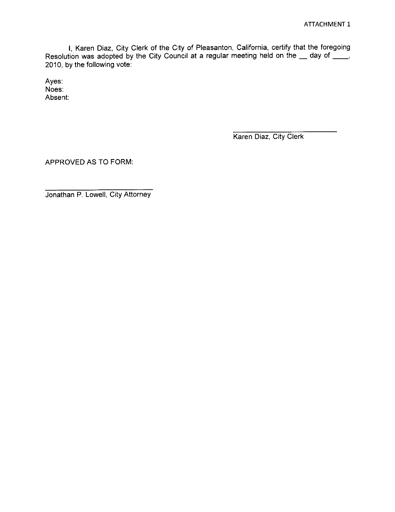1, Karen Diaz, City Clerk of the City of Pleasanton, California, certify that the foregoing Resolution was adopted by the City Council at a regular meeting held on the  $\_$  day of  $\_$ 2010, by the following vote:

Ayes: Noes: Absent:

Karen Diaz, City Clerk

APPROVED AS TO FORM:

Jonathan P. Lowell, City Attorney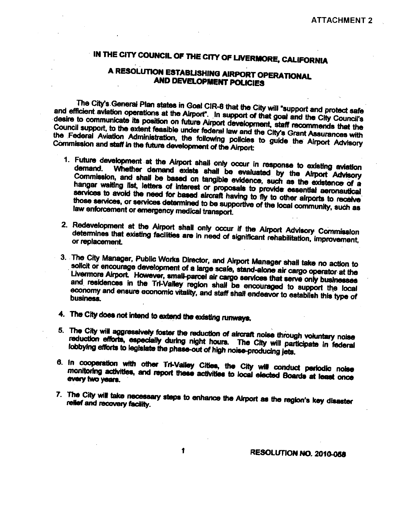# IN THE CITY COUNCIL OF THE CITY OF UVERMORE, CALIFORNIA

## A RESOLUTION ESTABUSHING AIRPORT OPERATIONAL AND DEVELOPMENT POLICIES

The City's General Plan states in Goal CIR-8 that the City will "support and protect safe and efficient aviation operations at the Airport'. In support of that goal and the City Council's desire to communicate its position desire to communicate its position on future Airport development, staff recommends that the Commission and staff in the future development of the Airport:

- Council support, to the extent feasible under federal law and the City's Grant Assurances with<br>Commission and staff in the full carefold memorial of the Airport.<br>
Commission and staff in the full carefold memorial only occ demand. Whether demand exists shall be evaluated by the Airport Advisory<br>Commission, and shall be based on tangible evidence, such as the existence of a<br>hangar waiting list, letters of interest or proposale to providence a Advisory hangar waking list, letters of interest or proposals to provide- essential aeronautical services to avoid the need for based aircraft having to fly to other airports to receive those services, or services determined to be supportive of the local community, such as law enforcement or emergency medical transpor those services, or services determined to be supportive of the local community, such as
	- 2. Redevelopment at the Airport shall only occur if the Airport Advisory Commission<br>determines that existing facilities are in need of significant rehabilitation, improvement,
	- 3. The City Manager, Public Works Director, and Airport Manager shall take no action to Livermore Airport. However, email namel of a sure, stand-alone air cargo operator at the **Livermore Airport However, small-parcel air cargo services that serve only businesses** and residences in the Tri-valley region shall be encouraged to support the local business.
- 4. The City does not intend to extend the existing runways,
- 5. The City will aggressively foster the reduction of aircraft noise through voluntary noise reduction efforts, especially during night hours. The City will participate In federal lobbying efforts to legislate the phase-out of high noise-producing jets.
- 8. In cooperation with other Tri-Valley Cities, the City will conduct periodic noise<br>monitoring activities, and report these activities to local elected Boards at least once<br>every two vears. monitoring activities, and report these activities to local elected Boards at least once
- 7. The City will take necessary steps to enhance the Airport as the region's key disaster relief and recovery facility.